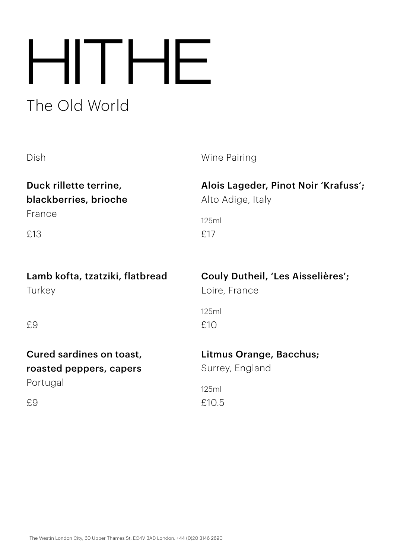# The Old World HITHE

Alto Adige, Italy

Duck rillette terrine, blackberries, brioche

France

£13

Lamb kofta, tzatziki, flatbread **Turkey** 

Couly Dutheil, 'Les Aisselières';

Alois Lageder, Pinot Noir 'Krafuss';

Loire, France

£17

125ml

£9

£9

Cured sardines on toast, roasted peppers, capers Portugal

# Litmus Orange, Bacchus;

Surrey, England

£10.5 125ml

£10

125ml

Dish Wine Pairing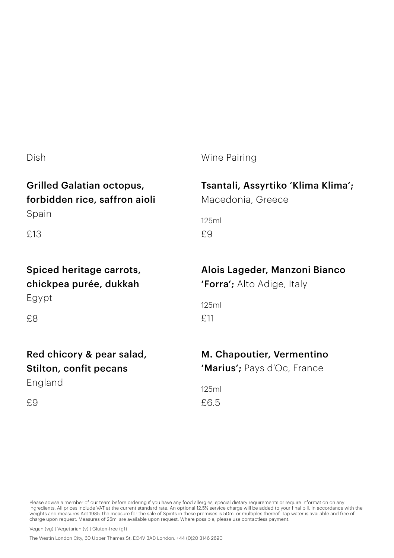# Grilled Galatian octopus,

# forbidden rice, saffron aioli

Spain

£13

# Spiced heritage carrots, chickpea purée, dukkah Egypt

£8

£9

# Red chicory & pear salad, Stilton, confit pecans England

Dish Wine Pairing

## Tsantali, Assyrtiko 'Klima Klima';

Macedonia, Greece

£9 125ml

# Alois Lageder, Manzoni Bianco

'Forra'; Alto Adige, Italy

£11 125ml

## M. Chapoutier, Vermentino

'Marius'; Pays d'Oc, France

£6.5 125ml

Please advise a member of our team before ordering if you have any food allergies, special dietary requirements or require information on any ingredients. All prices include VAT at the current standard rate. An optional 12.5% service charge will be added to your final bill. In accordance with the weights and measures Act 1985, the measure for the sale of Spirits in these premises is 50ml or multiples thereof. Tap water is available and free of charge upon request. Measures of 25ml are available upon request. Where possible, please use contactless payment.

Vegan (vg) | Vegetarian (v) | Gluten-free (gf)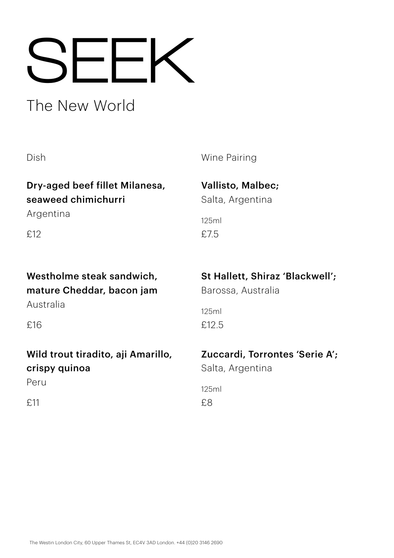# SEEK

# The New World

Dry-aged beef fillet Milanesa, seaweed chimichurri

Argentina

£12

# Westholme steak sandwich, mature Cheddar, bacon jam

Australia

£16

# Wild trout tiradito, aji Amarillo, crispy quinoa Peru

£11

# Dish Wine Pairing

Vallisto, Malbec; Salta, Argentina

£7.5 125ml

# St Hallett, Shiraz 'Blackwell';

Barossa, Australia

£12.5 125ml

# Zuccardi, Torrontes 'Serie A';

Salta, Argentina

£8 125ml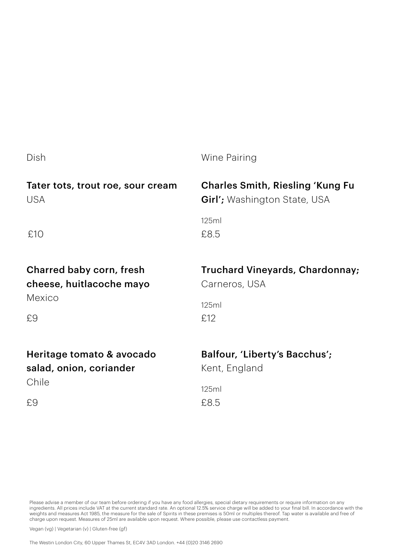| Dish                              | Wine Pairing                            |
|-----------------------------------|-----------------------------------------|
| Tater tots, trout roe, sour cream | <b>Charles Smith, Riesling 'Kung Fu</b> |
| <b>USA</b>                        | Girl'; Washington State, USA            |
| £10                               | 125ml<br>£8.5                           |
| Charred baby corn, fresh          | Truchard Vineyards, Chardonnay;         |
| cheese, huitlacoche mayo          | Carneros, USA                           |
| Mexico                            | 125ml                                   |
| £9                                | £12                                     |
| Heritage tomato & avocado         | Balfour, 'Liberty's Bacchus';           |
| salad, onion, coriander           | Kent, England                           |
| Chile                             | 125ml                                   |
| £9                                | £8.5                                    |

Please advise a member of our team before ordering if you have any food allergies, special dietary requirements or require information on any ingredients. All prices include VAT at the current standard rate. An optional 12.5% service charge will be added to your final bill. In accordance with the<br>weights and measures Act 1985, the measure for the sale of Spirits charge upon request. Measures of 25ml are available upon request. Where possible, please use contactless payment.

Vegan (vg) | Vegetarian (v) | Gluten-free (gf)